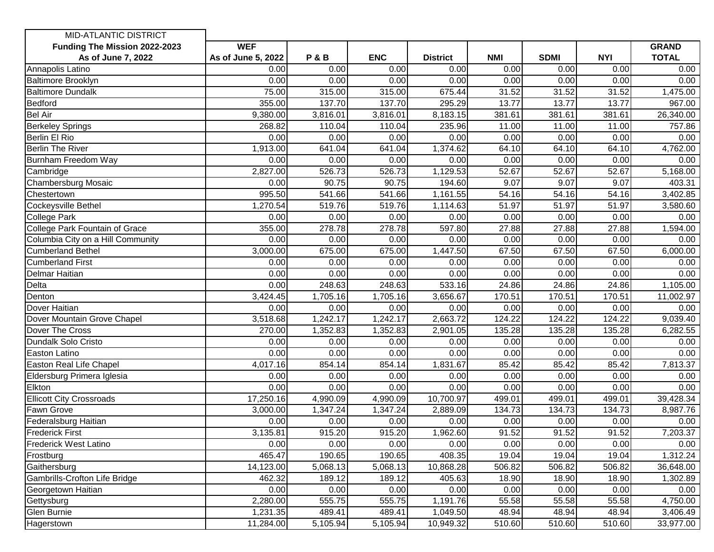| <b>P&amp;B</b><br><b>ENC</b><br><b>NMI</b><br><b>SDMI</b><br><b>NYI</b><br><b>TOTAL</b><br><b>District</b><br>As of June 7, 2022<br>As of June 5, 2022<br>Annapolis Latino<br>0.00<br>0.00<br>0.00<br>0.00<br>0.00<br>0.00<br>0.00<br>0.00<br>0.00<br>0.00<br>0.00<br>Baltimore Brooklyn<br>0.00<br>0.00<br>0.00<br>0.00<br>0.00<br>75.00<br>31.52<br><b>Baltimore Dundalk</b><br>315.00<br>315.00<br>675.44<br>31.52<br>31.52<br>1,475.00<br>13.77<br>355.00<br>137.70<br>137.70<br>295.29<br>13.77<br>13.77<br>967.00<br>Bedford<br><b>Bel Air</b><br>9,380.00<br>8,183.15<br>381.61<br>381.61<br>381.61<br>3,816.01<br>3,816.01<br>26,340.00<br><b>Berkeley Springs</b><br>268.82<br>110.04<br>110.04<br>235.96<br>11.00<br>11.00<br>11.00<br>757.86<br>0.00<br>0.00<br>0.00<br>0.00<br>Berlin El Rio<br>0.00<br>0.00<br>0.00<br>0.00<br><b>Berlin The River</b><br>641.04<br>1,913.00<br>641.04<br>1,374.62<br>64.10<br>64.10<br>64.10<br>4,762.00<br>0.00<br>0.00<br>0.00<br>0.00<br>0.00<br>Burnham Freedom Way<br>0.00<br>0.00<br>0.00<br>2,827.00<br>526.73<br>526.73<br>1,129.53<br>52.67<br>52.67<br>52.67<br>5,168.00<br>Cambridge<br>Chambersburg Mosaic<br>0.00<br>90.75<br>90.75<br>194.60<br>9.07<br>9.07<br>9.07<br>403.31<br>995.50<br>541.66<br>541.66<br>1,161.55<br>54.16<br>54.16<br>54.16<br>3,402.85<br>Chestertown<br>1,270.54<br>519.76<br>519.76<br>1,114.63<br>51.97<br>51.97<br>51.97<br>3,580.60<br>Cockeysville Bethel<br>0.00<br><b>College Park</b><br>0.00<br>0.00<br>0.00<br>0.00<br>0.00<br>0.00<br>0.00<br><b>College Park Fountain of Grace</b><br>355.00<br>278.78<br>278.78<br>597.80<br>27.88<br>27.88<br>27.88<br>1,594.00<br>Columbia City on a Hill Community<br>0.00<br>0.00<br>0.00<br>0.00<br>0.00<br>0.00<br>0.00<br>0.00<br><b>Cumberland Bethel</b><br>675.00<br>675.00<br>1,447.50<br>67.50<br>67.50<br>6,000.00<br>3,000.00<br>67.50<br>0.00<br>0.00<br>0.00<br>0.00<br>0.00<br>0.00<br>0.00<br>0.00<br>0.00<br>0.00<br>0.00<br>0.00<br>0.00<br>0.00<br>0.00<br>0.00<br>Delmar Haitian<br>0.00<br>248.63<br>533.16<br>248.63<br>24.86<br>24.86<br>24.86<br>1,105.00<br>Delta<br>3,424.45<br>1,705.16<br>1,705.16<br>3,656.67<br>170.51<br>170.51<br>170.51<br>11,002.97<br>Denton<br>Dover Haitian<br>0.00<br>0.00<br>0.00<br>0.00<br>0.00<br>0.00<br>0.00<br>0.00<br>124.22<br>3,518.68<br>1,242.17<br>1,242.17<br>2,663.72<br>124.22<br>124.22<br>Dover Mountain Grove Chapel<br>9,039.40<br>270.00<br>1,352.83<br>1,352.83<br>135.28<br>135.28<br>135.28<br>6,282.55<br>Dover The Cross<br>2,901.05<br>0.00<br>0.00<br>Dundalk Solo Cristo<br>0.00<br>0.00<br>0.00<br>0.00<br>0.00<br>0.00<br>0.00<br>0.00<br>0.00<br>0.00<br>Easton Latino<br>0.00<br>0.00<br>0.00<br>0.00<br>Easton Real Life Chapel<br>4,017.16<br>854.14<br>854.14<br>1,831.67<br>85.42<br>85.42<br>85.42<br>7,813.37<br>0.00<br>0.00<br>Eldersburg Primera Iglesia<br>0.00<br>0.00<br>0.00<br>0.00<br>0.00<br>0.00<br>0.00<br>Elkton<br>0.00<br>0.00<br>0.00<br>0.00<br>0.00<br>0.00<br>0.00<br><b>Ellicott City Crossroads</b><br>4,990.09<br>17,250.16<br>4,990.09<br>10,700.97<br>499.01<br>499.01<br>499.01<br>39,428.34<br>Fawn Grove<br>3,000.00<br>1,347.24<br>1,347.24<br>2,889.09<br>134.73<br>134.73<br>134.73<br>8,987.76<br>Federalsburg Haitian<br>0.00<br>0.00<br>0.00<br>0.00<br>0.00<br>0.00<br>0.00<br>0.00<br>$\overline{7,}203.37$<br>3,135.81<br>915.20<br>915.20<br>1,962.60<br>91.52<br>91.52<br>91.52<br>0.00<br>0.00<br>0.00<br>0.00<br>0.00<br>0.00<br>0.00<br><b>Frederick West Latino</b><br>0.00<br>465.47<br>408.35<br>19.04<br>19.04<br>19.04<br>190.65<br>190.65<br>1,312.24<br>Frostburg<br>Gaithersburg<br>14,123.00<br>5,068.13<br>10,868.28<br>506.82<br>506.82<br>506.82<br>5,068.13<br>36,648.00<br>Gambrills-Crofton Life Bridge<br>462.32<br>189.12<br>18.90<br>1,302.89<br>189.12<br>405.63<br>18.90<br>18.90<br>0.00<br>Georgetown Haitian<br>0.00<br>0.00<br>0.00<br>0.00<br>0.00<br>0.00<br>0.00<br>2,280.00<br>555.75<br>555.75<br>1,191.76<br>55.58<br>55.58<br>55.58<br>4,750.00<br>Gettysburg<br>Glen Burnie<br>1,231.35<br>489.41<br>1,049.50<br>48.94<br>489.41<br>48.94<br>48.94<br>3,406.49 | MID-ATLANTIC DISTRICT         |            |          |          |           |        |        |        |              |
|---------------------------------------------------------------------------------------------------------------------------------------------------------------------------------------------------------------------------------------------------------------------------------------------------------------------------------------------------------------------------------------------------------------------------------------------------------------------------------------------------------------------------------------------------------------------------------------------------------------------------------------------------------------------------------------------------------------------------------------------------------------------------------------------------------------------------------------------------------------------------------------------------------------------------------------------------------------------------------------------------------------------------------------------------------------------------------------------------------------------------------------------------------------------------------------------------------------------------------------------------------------------------------------------------------------------------------------------------------------------------------------------------------------------------------------------------------------------------------------------------------------------------------------------------------------------------------------------------------------------------------------------------------------------------------------------------------------------------------------------------------------------------------------------------------------------------------------------------------------------------------------------------------------------------------------------------------------------------------------------------------------------------------------------------------------------------------------------------------------------------------------------------------------------------------------------------------------------------------------------------------------------------------------------------------------------------------------------------------------------------------------------------------------------------------------------------------------------------------------------------------------------------------------------------------------------------------------------------------------------------------------------------------------------------------------------------------------------------------------------------------------------------------------------------------------------------------------------------------------------------------------------------------------------------------------------------------------------------------------------------------------------------------------------------------------------------------------------------------------------------------------------------------------------------------------------------------------------------------------------------------------------------------------------------------------------------------------------------------------------------------------------------------------------------------------------------------------------------------------------------------------------------------------------------------------------------------------------------------------------------------------------------------------------------------------------------------------------------------------------------------------------------------------------------------------------------------------------------------------------------------------------------------------------------------------------------------------------------------------------------------------------------------------------------------------------------------------------------------------------------------------------------------------------------|-------------------------------|------------|----------|----------|-----------|--------|--------|--------|--------------|
|                                                                                                                                                                                                                                                                                                                                                                                                                                                                                                                                                                                                                                                                                                                                                                                                                                                                                                                                                                                                                                                                                                                                                                                                                                                                                                                                                                                                                                                                                                                                                                                                                                                                                                                                                                                                                                                                                                                                                                                                                                                                                                                                                                                                                                                                                                                                                                                                                                                                                                                                                                                                                                                                                                                                                                                                                                                                                                                                                                                                                                                                                                                                                                                                                                                                                                                                                                                                                                                                                                                                                                                                                                                                                                                                                                                                                                                                                                                                                                                                                                                                                                                                                                           | Funding The Mission 2022-2023 | <b>WEF</b> |          |          |           |        |        |        | <b>GRAND</b> |
|                                                                                                                                                                                                                                                                                                                                                                                                                                                                                                                                                                                                                                                                                                                                                                                                                                                                                                                                                                                                                                                                                                                                                                                                                                                                                                                                                                                                                                                                                                                                                                                                                                                                                                                                                                                                                                                                                                                                                                                                                                                                                                                                                                                                                                                                                                                                                                                                                                                                                                                                                                                                                                                                                                                                                                                                                                                                                                                                                                                                                                                                                                                                                                                                                                                                                                                                                                                                                                                                                                                                                                                                                                                                                                                                                                                                                                                                                                                                                                                                                                                                                                                                                                           |                               |            |          |          |           |        |        |        |              |
|                                                                                                                                                                                                                                                                                                                                                                                                                                                                                                                                                                                                                                                                                                                                                                                                                                                                                                                                                                                                                                                                                                                                                                                                                                                                                                                                                                                                                                                                                                                                                                                                                                                                                                                                                                                                                                                                                                                                                                                                                                                                                                                                                                                                                                                                                                                                                                                                                                                                                                                                                                                                                                                                                                                                                                                                                                                                                                                                                                                                                                                                                                                                                                                                                                                                                                                                                                                                                                                                                                                                                                                                                                                                                                                                                                                                                                                                                                                                                                                                                                                                                                                                                                           |                               |            |          |          |           |        |        |        |              |
|                                                                                                                                                                                                                                                                                                                                                                                                                                                                                                                                                                                                                                                                                                                                                                                                                                                                                                                                                                                                                                                                                                                                                                                                                                                                                                                                                                                                                                                                                                                                                                                                                                                                                                                                                                                                                                                                                                                                                                                                                                                                                                                                                                                                                                                                                                                                                                                                                                                                                                                                                                                                                                                                                                                                                                                                                                                                                                                                                                                                                                                                                                                                                                                                                                                                                                                                                                                                                                                                                                                                                                                                                                                                                                                                                                                                                                                                                                                                                                                                                                                                                                                                                                           |                               |            |          |          |           |        |        |        |              |
|                                                                                                                                                                                                                                                                                                                                                                                                                                                                                                                                                                                                                                                                                                                                                                                                                                                                                                                                                                                                                                                                                                                                                                                                                                                                                                                                                                                                                                                                                                                                                                                                                                                                                                                                                                                                                                                                                                                                                                                                                                                                                                                                                                                                                                                                                                                                                                                                                                                                                                                                                                                                                                                                                                                                                                                                                                                                                                                                                                                                                                                                                                                                                                                                                                                                                                                                                                                                                                                                                                                                                                                                                                                                                                                                                                                                                                                                                                                                                                                                                                                                                                                                                                           |                               |            |          |          |           |        |        |        |              |
|                                                                                                                                                                                                                                                                                                                                                                                                                                                                                                                                                                                                                                                                                                                                                                                                                                                                                                                                                                                                                                                                                                                                                                                                                                                                                                                                                                                                                                                                                                                                                                                                                                                                                                                                                                                                                                                                                                                                                                                                                                                                                                                                                                                                                                                                                                                                                                                                                                                                                                                                                                                                                                                                                                                                                                                                                                                                                                                                                                                                                                                                                                                                                                                                                                                                                                                                                                                                                                                                                                                                                                                                                                                                                                                                                                                                                                                                                                                                                                                                                                                                                                                                                                           |                               |            |          |          |           |        |        |        |              |
|                                                                                                                                                                                                                                                                                                                                                                                                                                                                                                                                                                                                                                                                                                                                                                                                                                                                                                                                                                                                                                                                                                                                                                                                                                                                                                                                                                                                                                                                                                                                                                                                                                                                                                                                                                                                                                                                                                                                                                                                                                                                                                                                                                                                                                                                                                                                                                                                                                                                                                                                                                                                                                                                                                                                                                                                                                                                                                                                                                                                                                                                                                                                                                                                                                                                                                                                                                                                                                                                                                                                                                                                                                                                                                                                                                                                                                                                                                                                                                                                                                                                                                                                                                           |                               |            |          |          |           |        |        |        |              |
|                                                                                                                                                                                                                                                                                                                                                                                                                                                                                                                                                                                                                                                                                                                                                                                                                                                                                                                                                                                                                                                                                                                                                                                                                                                                                                                                                                                                                                                                                                                                                                                                                                                                                                                                                                                                                                                                                                                                                                                                                                                                                                                                                                                                                                                                                                                                                                                                                                                                                                                                                                                                                                                                                                                                                                                                                                                                                                                                                                                                                                                                                                                                                                                                                                                                                                                                                                                                                                                                                                                                                                                                                                                                                                                                                                                                                                                                                                                                                                                                                                                                                                                                                                           |                               |            |          |          |           |        |        |        |              |
|                                                                                                                                                                                                                                                                                                                                                                                                                                                                                                                                                                                                                                                                                                                                                                                                                                                                                                                                                                                                                                                                                                                                                                                                                                                                                                                                                                                                                                                                                                                                                                                                                                                                                                                                                                                                                                                                                                                                                                                                                                                                                                                                                                                                                                                                                                                                                                                                                                                                                                                                                                                                                                                                                                                                                                                                                                                                                                                                                                                                                                                                                                                                                                                                                                                                                                                                                                                                                                                                                                                                                                                                                                                                                                                                                                                                                                                                                                                                                                                                                                                                                                                                                                           |                               |            |          |          |           |        |        |        |              |
|                                                                                                                                                                                                                                                                                                                                                                                                                                                                                                                                                                                                                                                                                                                                                                                                                                                                                                                                                                                                                                                                                                                                                                                                                                                                                                                                                                                                                                                                                                                                                                                                                                                                                                                                                                                                                                                                                                                                                                                                                                                                                                                                                                                                                                                                                                                                                                                                                                                                                                                                                                                                                                                                                                                                                                                                                                                                                                                                                                                                                                                                                                                                                                                                                                                                                                                                                                                                                                                                                                                                                                                                                                                                                                                                                                                                                                                                                                                                                                                                                                                                                                                                                                           |                               |            |          |          |           |        |        |        |              |
|                                                                                                                                                                                                                                                                                                                                                                                                                                                                                                                                                                                                                                                                                                                                                                                                                                                                                                                                                                                                                                                                                                                                                                                                                                                                                                                                                                                                                                                                                                                                                                                                                                                                                                                                                                                                                                                                                                                                                                                                                                                                                                                                                                                                                                                                                                                                                                                                                                                                                                                                                                                                                                                                                                                                                                                                                                                                                                                                                                                                                                                                                                                                                                                                                                                                                                                                                                                                                                                                                                                                                                                                                                                                                                                                                                                                                                                                                                                                                                                                                                                                                                                                                                           |                               |            |          |          |           |        |        |        |              |
|                                                                                                                                                                                                                                                                                                                                                                                                                                                                                                                                                                                                                                                                                                                                                                                                                                                                                                                                                                                                                                                                                                                                                                                                                                                                                                                                                                                                                                                                                                                                                                                                                                                                                                                                                                                                                                                                                                                                                                                                                                                                                                                                                                                                                                                                                                                                                                                                                                                                                                                                                                                                                                                                                                                                                                                                                                                                                                                                                                                                                                                                                                                                                                                                                                                                                                                                                                                                                                                                                                                                                                                                                                                                                                                                                                                                                                                                                                                                                                                                                                                                                                                                                                           |                               |            |          |          |           |        |        |        |              |
|                                                                                                                                                                                                                                                                                                                                                                                                                                                                                                                                                                                                                                                                                                                                                                                                                                                                                                                                                                                                                                                                                                                                                                                                                                                                                                                                                                                                                                                                                                                                                                                                                                                                                                                                                                                                                                                                                                                                                                                                                                                                                                                                                                                                                                                                                                                                                                                                                                                                                                                                                                                                                                                                                                                                                                                                                                                                                                                                                                                                                                                                                                                                                                                                                                                                                                                                                                                                                                                                                                                                                                                                                                                                                                                                                                                                                                                                                                                                                                                                                                                                                                                                                                           |                               |            |          |          |           |        |        |        |              |
|                                                                                                                                                                                                                                                                                                                                                                                                                                                                                                                                                                                                                                                                                                                                                                                                                                                                                                                                                                                                                                                                                                                                                                                                                                                                                                                                                                                                                                                                                                                                                                                                                                                                                                                                                                                                                                                                                                                                                                                                                                                                                                                                                                                                                                                                                                                                                                                                                                                                                                                                                                                                                                                                                                                                                                                                                                                                                                                                                                                                                                                                                                                                                                                                                                                                                                                                                                                                                                                                                                                                                                                                                                                                                                                                                                                                                                                                                                                                                                                                                                                                                                                                                                           |                               |            |          |          |           |        |        |        |              |
|                                                                                                                                                                                                                                                                                                                                                                                                                                                                                                                                                                                                                                                                                                                                                                                                                                                                                                                                                                                                                                                                                                                                                                                                                                                                                                                                                                                                                                                                                                                                                                                                                                                                                                                                                                                                                                                                                                                                                                                                                                                                                                                                                                                                                                                                                                                                                                                                                                                                                                                                                                                                                                                                                                                                                                                                                                                                                                                                                                                                                                                                                                                                                                                                                                                                                                                                                                                                                                                                                                                                                                                                                                                                                                                                                                                                                                                                                                                                                                                                                                                                                                                                                                           |                               |            |          |          |           |        |        |        |              |
|                                                                                                                                                                                                                                                                                                                                                                                                                                                                                                                                                                                                                                                                                                                                                                                                                                                                                                                                                                                                                                                                                                                                                                                                                                                                                                                                                                                                                                                                                                                                                                                                                                                                                                                                                                                                                                                                                                                                                                                                                                                                                                                                                                                                                                                                                                                                                                                                                                                                                                                                                                                                                                                                                                                                                                                                                                                                                                                                                                                                                                                                                                                                                                                                                                                                                                                                                                                                                                                                                                                                                                                                                                                                                                                                                                                                                                                                                                                                                                                                                                                                                                                                                                           |                               |            |          |          |           |        |        |        |              |
|                                                                                                                                                                                                                                                                                                                                                                                                                                                                                                                                                                                                                                                                                                                                                                                                                                                                                                                                                                                                                                                                                                                                                                                                                                                                                                                                                                                                                                                                                                                                                                                                                                                                                                                                                                                                                                                                                                                                                                                                                                                                                                                                                                                                                                                                                                                                                                                                                                                                                                                                                                                                                                                                                                                                                                                                                                                                                                                                                                                                                                                                                                                                                                                                                                                                                                                                                                                                                                                                                                                                                                                                                                                                                                                                                                                                                                                                                                                                                                                                                                                                                                                                                                           |                               |            |          |          |           |        |        |        |              |
|                                                                                                                                                                                                                                                                                                                                                                                                                                                                                                                                                                                                                                                                                                                                                                                                                                                                                                                                                                                                                                                                                                                                                                                                                                                                                                                                                                                                                                                                                                                                                                                                                                                                                                                                                                                                                                                                                                                                                                                                                                                                                                                                                                                                                                                                                                                                                                                                                                                                                                                                                                                                                                                                                                                                                                                                                                                                                                                                                                                                                                                                                                                                                                                                                                                                                                                                                                                                                                                                                                                                                                                                                                                                                                                                                                                                                                                                                                                                                                                                                                                                                                                                                                           |                               |            |          |          |           |        |        |        |              |
|                                                                                                                                                                                                                                                                                                                                                                                                                                                                                                                                                                                                                                                                                                                                                                                                                                                                                                                                                                                                                                                                                                                                                                                                                                                                                                                                                                                                                                                                                                                                                                                                                                                                                                                                                                                                                                                                                                                                                                                                                                                                                                                                                                                                                                                                                                                                                                                                                                                                                                                                                                                                                                                                                                                                                                                                                                                                                                                                                                                                                                                                                                                                                                                                                                                                                                                                                                                                                                                                                                                                                                                                                                                                                                                                                                                                                                                                                                                                                                                                                                                                                                                                                                           |                               |            |          |          |           |        |        |        |              |
|                                                                                                                                                                                                                                                                                                                                                                                                                                                                                                                                                                                                                                                                                                                                                                                                                                                                                                                                                                                                                                                                                                                                                                                                                                                                                                                                                                                                                                                                                                                                                                                                                                                                                                                                                                                                                                                                                                                                                                                                                                                                                                                                                                                                                                                                                                                                                                                                                                                                                                                                                                                                                                                                                                                                                                                                                                                                                                                                                                                                                                                                                                                                                                                                                                                                                                                                                                                                                                                                                                                                                                                                                                                                                                                                                                                                                                                                                                                                                                                                                                                                                                                                                                           | <b>Cumberland First</b>       |            |          |          |           |        |        |        |              |
|                                                                                                                                                                                                                                                                                                                                                                                                                                                                                                                                                                                                                                                                                                                                                                                                                                                                                                                                                                                                                                                                                                                                                                                                                                                                                                                                                                                                                                                                                                                                                                                                                                                                                                                                                                                                                                                                                                                                                                                                                                                                                                                                                                                                                                                                                                                                                                                                                                                                                                                                                                                                                                                                                                                                                                                                                                                                                                                                                                                                                                                                                                                                                                                                                                                                                                                                                                                                                                                                                                                                                                                                                                                                                                                                                                                                                                                                                                                                                                                                                                                                                                                                                                           |                               |            |          |          |           |        |        |        |              |
|                                                                                                                                                                                                                                                                                                                                                                                                                                                                                                                                                                                                                                                                                                                                                                                                                                                                                                                                                                                                                                                                                                                                                                                                                                                                                                                                                                                                                                                                                                                                                                                                                                                                                                                                                                                                                                                                                                                                                                                                                                                                                                                                                                                                                                                                                                                                                                                                                                                                                                                                                                                                                                                                                                                                                                                                                                                                                                                                                                                                                                                                                                                                                                                                                                                                                                                                                                                                                                                                                                                                                                                                                                                                                                                                                                                                                                                                                                                                                                                                                                                                                                                                                                           |                               |            |          |          |           |        |        |        |              |
|                                                                                                                                                                                                                                                                                                                                                                                                                                                                                                                                                                                                                                                                                                                                                                                                                                                                                                                                                                                                                                                                                                                                                                                                                                                                                                                                                                                                                                                                                                                                                                                                                                                                                                                                                                                                                                                                                                                                                                                                                                                                                                                                                                                                                                                                                                                                                                                                                                                                                                                                                                                                                                                                                                                                                                                                                                                                                                                                                                                                                                                                                                                                                                                                                                                                                                                                                                                                                                                                                                                                                                                                                                                                                                                                                                                                                                                                                                                                                                                                                                                                                                                                                                           |                               |            |          |          |           |        |        |        |              |
|                                                                                                                                                                                                                                                                                                                                                                                                                                                                                                                                                                                                                                                                                                                                                                                                                                                                                                                                                                                                                                                                                                                                                                                                                                                                                                                                                                                                                                                                                                                                                                                                                                                                                                                                                                                                                                                                                                                                                                                                                                                                                                                                                                                                                                                                                                                                                                                                                                                                                                                                                                                                                                                                                                                                                                                                                                                                                                                                                                                                                                                                                                                                                                                                                                                                                                                                                                                                                                                                                                                                                                                                                                                                                                                                                                                                                                                                                                                                                                                                                                                                                                                                                                           |                               |            |          |          |           |        |        |        |              |
|                                                                                                                                                                                                                                                                                                                                                                                                                                                                                                                                                                                                                                                                                                                                                                                                                                                                                                                                                                                                                                                                                                                                                                                                                                                                                                                                                                                                                                                                                                                                                                                                                                                                                                                                                                                                                                                                                                                                                                                                                                                                                                                                                                                                                                                                                                                                                                                                                                                                                                                                                                                                                                                                                                                                                                                                                                                                                                                                                                                                                                                                                                                                                                                                                                                                                                                                                                                                                                                                                                                                                                                                                                                                                                                                                                                                                                                                                                                                                                                                                                                                                                                                                                           |                               |            |          |          |           |        |        |        |              |
|                                                                                                                                                                                                                                                                                                                                                                                                                                                                                                                                                                                                                                                                                                                                                                                                                                                                                                                                                                                                                                                                                                                                                                                                                                                                                                                                                                                                                                                                                                                                                                                                                                                                                                                                                                                                                                                                                                                                                                                                                                                                                                                                                                                                                                                                                                                                                                                                                                                                                                                                                                                                                                                                                                                                                                                                                                                                                                                                                                                                                                                                                                                                                                                                                                                                                                                                                                                                                                                                                                                                                                                                                                                                                                                                                                                                                                                                                                                                                                                                                                                                                                                                                                           |                               |            |          |          |           |        |        |        |              |
|                                                                                                                                                                                                                                                                                                                                                                                                                                                                                                                                                                                                                                                                                                                                                                                                                                                                                                                                                                                                                                                                                                                                                                                                                                                                                                                                                                                                                                                                                                                                                                                                                                                                                                                                                                                                                                                                                                                                                                                                                                                                                                                                                                                                                                                                                                                                                                                                                                                                                                                                                                                                                                                                                                                                                                                                                                                                                                                                                                                                                                                                                                                                                                                                                                                                                                                                                                                                                                                                                                                                                                                                                                                                                                                                                                                                                                                                                                                                                                                                                                                                                                                                                                           |                               |            |          |          |           |        |        |        |              |
|                                                                                                                                                                                                                                                                                                                                                                                                                                                                                                                                                                                                                                                                                                                                                                                                                                                                                                                                                                                                                                                                                                                                                                                                                                                                                                                                                                                                                                                                                                                                                                                                                                                                                                                                                                                                                                                                                                                                                                                                                                                                                                                                                                                                                                                                                                                                                                                                                                                                                                                                                                                                                                                                                                                                                                                                                                                                                                                                                                                                                                                                                                                                                                                                                                                                                                                                                                                                                                                                                                                                                                                                                                                                                                                                                                                                                                                                                                                                                                                                                                                                                                                                                                           |                               |            |          |          |           |        |        |        |              |
|                                                                                                                                                                                                                                                                                                                                                                                                                                                                                                                                                                                                                                                                                                                                                                                                                                                                                                                                                                                                                                                                                                                                                                                                                                                                                                                                                                                                                                                                                                                                                                                                                                                                                                                                                                                                                                                                                                                                                                                                                                                                                                                                                                                                                                                                                                                                                                                                                                                                                                                                                                                                                                                                                                                                                                                                                                                                                                                                                                                                                                                                                                                                                                                                                                                                                                                                                                                                                                                                                                                                                                                                                                                                                                                                                                                                                                                                                                                                                                                                                                                                                                                                                                           |                               |            |          |          |           |        |        |        |              |
|                                                                                                                                                                                                                                                                                                                                                                                                                                                                                                                                                                                                                                                                                                                                                                                                                                                                                                                                                                                                                                                                                                                                                                                                                                                                                                                                                                                                                                                                                                                                                                                                                                                                                                                                                                                                                                                                                                                                                                                                                                                                                                                                                                                                                                                                                                                                                                                                                                                                                                                                                                                                                                                                                                                                                                                                                                                                                                                                                                                                                                                                                                                                                                                                                                                                                                                                                                                                                                                                                                                                                                                                                                                                                                                                                                                                                                                                                                                                                                                                                                                                                                                                                                           |                               |            |          |          |           |        |        |        |              |
|                                                                                                                                                                                                                                                                                                                                                                                                                                                                                                                                                                                                                                                                                                                                                                                                                                                                                                                                                                                                                                                                                                                                                                                                                                                                                                                                                                                                                                                                                                                                                                                                                                                                                                                                                                                                                                                                                                                                                                                                                                                                                                                                                                                                                                                                                                                                                                                                                                                                                                                                                                                                                                                                                                                                                                                                                                                                                                                                                                                                                                                                                                                                                                                                                                                                                                                                                                                                                                                                                                                                                                                                                                                                                                                                                                                                                                                                                                                                                                                                                                                                                                                                                                           |                               |            |          |          |           |        |        |        |              |
|                                                                                                                                                                                                                                                                                                                                                                                                                                                                                                                                                                                                                                                                                                                                                                                                                                                                                                                                                                                                                                                                                                                                                                                                                                                                                                                                                                                                                                                                                                                                                                                                                                                                                                                                                                                                                                                                                                                                                                                                                                                                                                                                                                                                                                                                                                                                                                                                                                                                                                                                                                                                                                                                                                                                                                                                                                                                                                                                                                                                                                                                                                                                                                                                                                                                                                                                                                                                                                                                                                                                                                                                                                                                                                                                                                                                                                                                                                                                                                                                                                                                                                                                                                           |                               |            |          |          |           |        |        |        |              |
|                                                                                                                                                                                                                                                                                                                                                                                                                                                                                                                                                                                                                                                                                                                                                                                                                                                                                                                                                                                                                                                                                                                                                                                                                                                                                                                                                                                                                                                                                                                                                                                                                                                                                                                                                                                                                                                                                                                                                                                                                                                                                                                                                                                                                                                                                                                                                                                                                                                                                                                                                                                                                                                                                                                                                                                                                                                                                                                                                                                                                                                                                                                                                                                                                                                                                                                                                                                                                                                                                                                                                                                                                                                                                                                                                                                                                                                                                                                                                                                                                                                                                                                                                                           |                               |            |          |          |           |        |        |        |              |
|                                                                                                                                                                                                                                                                                                                                                                                                                                                                                                                                                                                                                                                                                                                                                                                                                                                                                                                                                                                                                                                                                                                                                                                                                                                                                                                                                                                                                                                                                                                                                                                                                                                                                                                                                                                                                                                                                                                                                                                                                                                                                                                                                                                                                                                                                                                                                                                                                                                                                                                                                                                                                                                                                                                                                                                                                                                                                                                                                                                                                                                                                                                                                                                                                                                                                                                                                                                                                                                                                                                                                                                                                                                                                                                                                                                                                                                                                                                                                                                                                                                                                                                                                                           |                               |            |          |          |           |        |        |        |              |
|                                                                                                                                                                                                                                                                                                                                                                                                                                                                                                                                                                                                                                                                                                                                                                                                                                                                                                                                                                                                                                                                                                                                                                                                                                                                                                                                                                                                                                                                                                                                                                                                                                                                                                                                                                                                                                                                                                                                                                                                                                                                                                                                                                                                                                                                                                                                                                                                                                                                                                                                                                                                                                                                                                                                                                                                                                                                                                                                                                                                                                                                                                                                                                                                                                                                                                                                                                                                                                                                                                                                                                                                                                                                                                                                                                                                                                                                                                                                                                                                                                                                                                                                                                           | <b>Frederick First</b>        |            |          |          |           |        |        |        |              |
|                                                                                                                                                                                                                                                                                                                                                                                                                                                                                                                                                                                                                                                                                                                                                                                                                                                                                                                                                                                                                                                                                                                                                                                                                                                                                                                                                                                                                                                                                                                                                                                                                                                                                                                                                                                                                                                                                                                                                                                                                                                                                                                                                                                                                                                                                                                                                                                                                                                                                                                                                                                                                                                                                                                                                                                                                                                                                                                                                                                                                                                                                                                                                                                                                                                                                                                                                                                                                                                                                                                                                                                                                                                                                                                                                                                                                                                                                                                                                                                                                                                                                                                                                                           |                               |            |          |          |           |        |        |        |              |
|                                                                                                                                                                                                                                                                                                                                                                                                                                                                                                                                                                                                                                                                                                                                                                                                                                                                                                                                                                                                                                                                                                                                                                                                                                                                                                                                                                                                                                                                                                                                                                                                                                                                                                                                                                                                                                                                                                                                                                                                                                                                                                                                                                                                                                                                                                                                                                                                                                                                                                                                                                                                                                                                                                                                                                                                                                                                                                                                                                                                                                                                                                                                                                                                                                                                                                                                                                                                                                                                                                                                                                                                                                                                                                                                                                                                                                                                                                                                                                                                                                                                                                                                                                           |                               |            |          |          |           |        |        |        |              |
|                                                                                                                                                                                                                                                                                                                                                                                                                                                                                                                                                                                                                                                                                                                                                                                                                                                                                                                                                                                                                                                                                                                                                                                                                                                                                                                                                                                                                                                                                                                                                                                                                                                                                                                                                                                                                                                                                                                                                                                                                                                                                                                                                                                                                                                                                                                                                                                                                                                                                                                                                                                                                                                                                                                                                                                                                                                                                                                                                                                                                                                                                                                                                                                                                                                                                                                                                                                                                                                                                                                                                                                                                                                                                                                                                                                                                                                                                                                                                                                                                                                                                                                                                                           |                               |            |          |          |           |        |        |        |              |
|                                                                                                                                                                                                                                                                                                                                                                                                                                                                                                                                                                                                                                                                                                                                                                                                                                                                                                                                                                                                                                                                                                                                                                                                                                                                                                                                                                                                                                                                                                                                                                                                                                                                                                                                                                                                                                                                                                                                                                                                                                                                                                                                                                                                                                                                                                                                                                                                                                                                                                                                                                                                                                                                                                                                                                                                                                                                                                                                                                                                                                                                                                                                                                                                                                                                                                                                                                                                                                                                                                                                                                                                                                                                                                                                                                                                                                                                                                                                                                                                                                                                                                                                                                           |                               |            |          |          |           |        |        |        |              |
|                                                                                                                                                                                                                                                                                                                                                                                                                                                                                                                                                                                                                                                                                                                                                                                                                                                                                                                                                                                                                                                                                                                                                                                                                                                                                                                                                                                                                                                                                                                                                                                                                                                                                                                                                                                                                                                                                                                                                                                                                                                                                                                                                                                                                                                                                                                                                                                                                                                                                                                                                                                                                                                                                                                                                                                                                                                                                                                                                                                                                                                                                                                                                                                                                                                                                                                                                                                                                                                                                                                                                                                                                                                                                                                                                                                                                                                                                                                                                                                                                                                                                                                                                                           |                               |            |          |          |           |        |        |        |              |
|                                                                                                                                                                                                                                                                                                                                                                                                                                                                                                                                                                                                                                                                                                                                                                                                                                                                                                                                                                                                                                                                                                                                                                                                                                                                                                                                                                                                                                                                                                                                                                                                                                                                                                                                                                                                                                                                                                                                                                                                                                                                                                                                                                                                                                                                                                                                                                                                                                                                                                                                                                                                                                                                                                                                                                                                                                                                                                                                                                                                                                                                                                                                                                                                                                                                                                                                                                                                                                                                                                                                                                                                                                                                                                                                                                                                                                                                                                                                                                                                                                                                                                                                                                           |                               |            |          |          |           |        |        |        |              |
|                                                                                                                                                                                                                                                                                                                                                                                                                                                                                                                                                                                                                                                                                                                                                                                                                                                                                                                                                                                                                                                                                                                                                                                                                                                                                                                                                                                                                                                                                                                                                                                                                                                                                                                                                                                                                                                                                                                                                                                                                                                                                                                                                                                                                                                                                                                                                                                                                                                                                                                                                                                                                                                                                                                                                                                                                                                                                                                                                                                                                                                                                                                                                                                                                                                                                                                                                                                                                                                                                                                                                                                                                                                                                                                                                                                                                                                                                                                                                                                                                                                                                                                                                                           |                               |            |          |          |           |        |        |        |              |
|                                                                                                                                                                                                                                                                                                                                                                                                                                                                                                                                                                                                                                                                                                                                                                                                                                                                                                                                                                                                                                                                                                                                                                                                                                                                                                                                                                                                                                                                                                                                                                                                                                                                                                                                                                                                                                                                                                                                                                                                                                                                                                                                                                                                                                                                                                                                                                                                                                                                                                                                                                                                                                                                                                                                                                                                                                                                                                                                                                                                                                                                                                                                                                                                                                                                                                                                                                                                                                                                                                                                                                                                                                                                                                                                                                                                                                                                                                                                                                                                                                                                                                                                                                           | Hagerstown                    | 11,284.00  | 5,105.94 | 5,105.94 | 10,949.32 | 510.60 | 510.60 | 510.60 | 33,977.00    |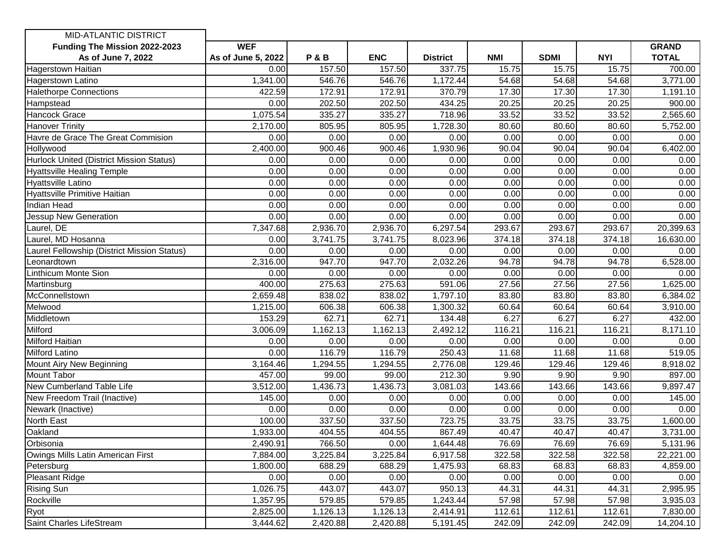| MID-ATLANTIC DISTRICT                       |                    |                |            |                 |            |             |            |                        |
|---------------------------------------------|--------------------|----------------|------------|-----------------|------------|-------------|------------|------------------------|
| Funding The Mission 2022-2023               | <b>WEF</b>         |                |            |                 |            |             |            | <b>GRAND</b>           |
| As of June 7, 2022                          | As of June 5, 2022 | <b>P&amp;B</b> | <b>ENC</b> | <b>District</b> | <b>NMI</b> | <b>SDMI</b> | <b>NYI</b> | <b>TOTAL</b>           |
| Hagerstown Haitian                          | 0.00               | 157.50         | 157.50     | 337.75          | 15.75      | 15.75       | 15.75      | 700.00                 |
| Hagerstown Latino                           | 1,341.00           | 546.76         | 546.76     | 1,172.44        | 54.68      | 54.68       | 54.68      | 3,771.00               |
| <b>Halethorpe Connections</b>               | 422.59             | 172.91         | 172.91     | 370.79          | 17.30      | 17.30       | 17.30      | 1,191.10               |
| Hampstead                                   | 0.00               | 202.50         | 202.50     | 434.25          | 20.25      | 20.25       | 20.25      | 900.00                 |
| Hancock Grace                               | 1,075.54           | 335.27         | 335.27     | 718.96          | 33.52      | 33.52       | 33.52      | 2,565.60               |
| <b>Hanover Trinity</b>                      | 2,170.00           | 805.95         | 805.95     | 1,728.30        | 80.60      | 80.60       | 80.60      | $\overline{5}$ ,752.00 |
| Havre de Grace The Great Commision          | 0.00               | 0.00           | 0.00       | 0.00            | 0.00       | 0.00        | 0.00       | 0.00                   |
| Hollywood                                   | 2,400.00           | 900.46         | 900.46     | 1,930.96        | 90.04      | 90.04       | 90.04      | 6,402.00               |
| Hurlock United (District Mission Status)    | 0.00               | 0.00           | 0.00       | 0.00            | 0.00       | 0.00        | 0.00       | 0.00                   |
| <b>Hyattsville Healing Temple</b>           | 0.00               | 0.00           | 0.00       | 0.00            | 0.00       | 0.00        | 0.00       | 0.00                   |
| Hyattsville Latino                          | 0.00               | 0.00           | 0.00       | 0.00            | 0.00       | 0.00        | 0.00       | 0.00                   |
| <b>Hyattsville Primitive Haitian</b>        | 0.00               | 0.00           | 0.00       | 0.00            | 0.00       | 0.00        | 0.00       | 0.00                   |
| Indian Head                                 | 0.00               | 0.00           | 0.00       | 0.00            | 0.00       | 0.00        | 0.00       | 0.00                   |
| <b>Jessup New Generation</b>                | 0.00               | 0.00           | 0.00       | 0.00            | 0.00       | 0.00        | 0.00       | 0.00                   |
| Laurel, DE                                  | 7,347.68           | 2,936.70       | 2,936.70   | 6,297.54        | 293.67     | 293.67      | 293.67     | 20,399.63              |
| Laurel, MD Hosanna                          | 0.00               | 3,741.75       | 3,741.75   | 8,023.96        | 374.18     | 374.18      | 374.18     | 16,630.00              |
| Laurel Fellowship (District Mission Status) | 0.00               | 0.00           | 0.00       | 0.00            | 0.00       | 0.00        | 0.00       | 0.00                   |
| Leonardtown                                 | 2,316.00           | 947.70         | 947.70     | 2,032.26        | 94.78      | 94.78       | 94.78      | 6,528.00               |
| Linthicum Monte Sion                        | 0.00               | 0.00           | 0.00       | 0.00            | 0.00       | 0.00        | 0.00       | 0.00                   |
| Martinsburg                                 | 400.00             | 275.63         | 275.63     | 591.06          | 27.56      | 27.56       | 27.56      | 1,625.00               |
| McConnellstown                              | 2,659.48           | 838.02         | 838.02     | 1,797.10        | 83.80      | 83.80       | 83.80      | 6,384.02               |
| Melwood                                     | 1,215.00           | 606.38         | 606.38     | 1,300.32        | 60.64      | 60.64       | 60.64      | 3,910.00               |
| Middletown                                  | 153.29             | 62.71          | 62.71      | 134.48          | 6.27       | 6.27        | 6.27       | 432.00                 |
| Milford                                     | 3,006.09           | 1,162.13       | 1,162.13   | 2,492.12        | 116.21     | 116.21      | 116.21     | 8,171.10               |
| <b>Milford Haitian</b>                      | 0.00               | 0.00           | 0.00       | 0.00            | 0.00       | 0.00        | 0.00       | 0.00                   |
| Milford Latino                              | 0.00               | 116.79         | 116.79     | 250.43          | 11.68      | 11.68       | 11.68      | 519.05                 |
| Mount Airy New Beginning                    | 3,164.46           | ,294.55        | 1,294.55   | 2,776.08        | 129.46     | 129.46      | 129.46     | $\overline{8,918.02}$  |
| <b>Mount Tabor</b>                          | 457.00             | 99.00          | 99.00      | 212.30          | 9.90       | 9.90        | 9.90       | 897.00                 |
| New Cumberland Table Life                   | 3,512.00           | 1,436.73       | 1,436.73   | 3,081.03        | 143.66     | 143.66      | 143.66     | 9,897.47               |
| New Freedom Trail (Inactive)                | 145.00             | 0.00           | 0.00       | 0.00            | 0.00       | 0.00        | 0.00       | 145.00                 |
| Newark (Inactive)                           | 0.00               | 0.00           | 0.00       | 0.00            | 0.00       | 0.00        | 0.00       | 0.00                   |
| North East                                  | 100.00             | 337.50         | 337.50     | 723.75          | 33.75      | 33.75       | 33.75      | 1,600.00               |
| Oakland                                     | 1,933.00           | 404.55         | 404.55     | 867.49          | 40.47      | 40.47       | 40.47      | 3,731.00               |
| Orbisonia                                   | 2,490.91           | 766.50         | 0.00       | 1,644.48        | 76.69      | 76.69       | 76.69      | 5,131.96               |
| Owings Mills Latin American First           | 7,884.00           | 3,225.84       | 3,225.84   | 6,917.58        | 322.58     | 322.58      | 322.58     | 22,221.00              |
| Petersburg                                  | 1,800.00           | 688.29         | 688.29     | 1,475.93        | 68.83      | 68.83       | 68.83      | 4,859.00               |
| <b>Pleasant Ridge</b>                       | 0.00               | 0.00           | 0.00       | 0.00            | 0.00       | 0.00        | 0.00       | 0.00                   |
| <b>Rising Sun</b>                           | 1,026.75           | 443.07         | 443.07     | 950.13          | 44.31      | 44.31       | 44.31      | 2,995.95               |
| Rockville                                   | 1,357.95           | 579.85         | 579.85     | 1,243.44        | 57.98      | 57.98       | 57.98      | 3,935.03               |
| Ryot                                        | 2,825.00           | 1,126.13       | 1,126.13   | 2,414.91        | 112.61     | 112.61      | 112.61     | 7,830.00               |
| Saint Charles LifeStream                    | 3,444.62           | 2,420.88       | 2,420.88   | 5,191.45        | 242.09     | 242.09      | 242.09     | 14,204.10              |